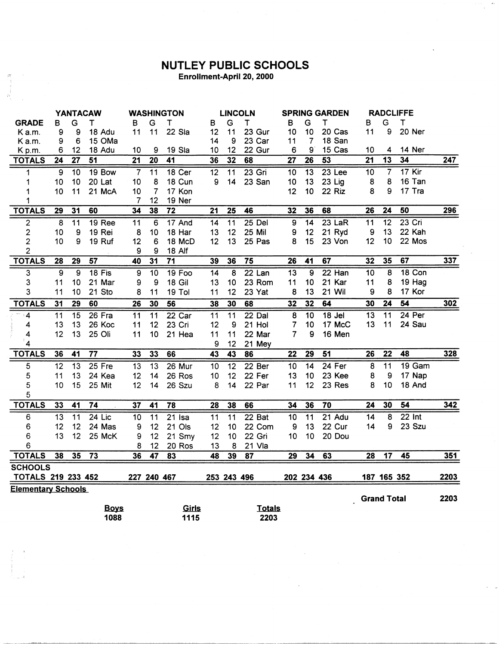## **NUTLEY PUBLIC SCHOOLS**<br>Enrollment-April 20, 2000

j)<br>V

 $\hat{A}$  ,

|                           | <b>YANTACAW</b> |                 |                 | <b>WASHINGTON</b> |                 |                   | <b>LINCOLN</b>  |                 | <b>SPRING GARDEN</b> |                 |                 | <b>RADCLIFFE</b> |                 |                    |                     |      |
|---------------------------|-----------------|-----------------|-----------------|-------------------|-----------------|-------------------|-----------------|-----------------|----------------------|-----------------|-----------------|------------------|-----------------|--------------------|---------------------|------|
| <b>GRADE</b>              | B               | G               | т               | в                 | G               | т                 | В               | G               | Τ                    | B               | G               | т                | в               | G                  | T                   |      |
| K a.m.                    | 9               | 9               | 18 Adu          | 11                | 11              | 22 Sla            | 12              | 11              | 23 Gur               | 10              | 10              | 20 Cas           | 11              | 9                  | 20 Ner              |      |
| Ka.m.                     | 9               | 6               | 15 OMa          |                   |                 |                   | 14              | 9               | 23 Car               | 11              | 7               | 18 San           |                 |                    |                     |      |
| Kp.m.                     | 6               | 12              | 18 Adu          | 10                | 9               | 19 Sla            | 10              | 12              | 22 Gur               | 6               | 9               | 15 Cas           | 10              | 4                  | 14 Ner              |      |
| <b>TOTALS</b>             | 24              | 27              | 51              | $\overline{21}$   | 20              | 41                | 36              | 32              | 68                   | 27              | 26              | 53               | $\overline{21}$ | $\overline{13}$    | 34                  | 247  |
| 1                         | 9               | 10              | 19 Bow          | $\overline{7}$    | $\overline{11}$ | 18 <sub>cer</sub> | $\overline{12}$ | 11              | $23$ Gri             | 10              | 13              | $23$ Lee         | 10              | $\overline{7}$     | $17$ Kir            |      |
| 1                         | 10              | 10              | 20 Lat          | 10                | 8               | 18 Cun            | 9               | 14              | 23 San               | 10              | 13              | 23 Lig           | 8               | 8                  | 16 Tan              |      |
| 1                         | 10              | 11              | 21 McA          | 10                | 7               | 17 Kon            |                 |                 |                      | 12              | 10              | 22 Riz           | 8               | 9                  | 17 Tra              |      |
| 1                         |                 |                 |                 | $\overline{7}$    | 12              | 19 Ner            |                 |                 |                      |                 |                 |                  |                 |                    |                     |      |
| <b>TOTALS</b>             | $\overline{29}$ | 31              | 60              | 34                | 38              | $\overline{72}$   | $\overline{21}$ | $\overline{25}$ | 46                   | 32              | 36              | 68               | $\overline{26}$ | 24                 | 50                  | 296  |
| $\overline{2}$            | $\overline{8}$  | $\overline{11}$ | <b>19 Ree</b>   | $\overline{11}$   | 6               | 17 And            | $\overline{14}$ | $\overline{11}$ | $25$ Del             | 9               | $\overline{14}$ | $23$ LaR         | 11              | $\overline{12}$    | $23$ Cri            |      |
| $\overline{2}$            | 10              | 9               | 19 Rei          | 8                 | 10              | 18 Har            | 13              | 12              | <b>25 Mil</b>        | 9               | 12              | 21 Ryd           | 9               | 13                 | 22 Kah              |      |
| $\overline{c}$            | 10              | 9               | 19 Ruf          | 12                | 6               | 18 McD            | 12              | 13              | 25 Pas               | 8               | 15              | 23 Von           | 12              | 10                 | 22 Mos              |      |
| $\overline{2}$            |                 |                 |                 | 9                 | 9               | <b>18 Alf</b>     |                 |                 |                      |                 |                 |                  |                 |                    |                     |      |
| <b>TOTALS</b>             | 28              | 29              | 57              | 40                | 31              | 71                | 39              | 36              | $\overline{75}$      | 26              | 41              | 67               | 32              | 35                 | 67                  | 337  |
| 3                         | 9               | 9               | $18$ Fis        | 9                 | $\overline{10}$ | 19 Foo            | $\overline{14}$ | $\bf{8}$        | $22$ Lan             | $\overline{13}$ | $\overline{9}$  | $22$ Han         | $\overline{10}$ | 8                  | 18 Con              |      |
| 3                         | 11              | 10              | 21 Mar          | 9                 | 9               | <b>18 Gil</b>     | 13              | 10              | 23 Rom               | 11              | 10              | 21 Kar           | 11              | 8                  | 19 Hag              |      |
| 3                         | 11              | 10              | 21 Sto          | 8                 | 11              | 19 Tol            | 11              | 12              | 23 Yat               | 8               | 13              | 21 Wil           | 9               | 8                  | 17 Kor              |      |
| <b>TOTALS</b>             | 31              | 29              | 60              | 26                | 30              | 56                | 38              | 30              | 68                   | 32              | 32              | 64               | 30              | 24                 | $\overline{54}$     | 302  |
| $\overline{\mathbf{4}}$   | $\overline{11}$ | $\overline{15}$ | 26 Fra          | 11                | $\overline{11}$ | 22 Car            | 11              | $\overline{11}$ | $22$ Dal             | $\overline{8}$  | 10              | $18$ Jel         | 13              | 11                 | $24$ Per            |      |
| 4                         | 13              | 13              | 26 Koc          | 11                | 12              | 23 Cri            | 12              | 9               | 21 Hol               | 7               | 10              | 17 McC           | 13              | 11                 | 24 Sau              |      |
| 4                         | 12              | 13              | 25 Oli          | 11                | 10              | 21 Hea            | 11              | 11              | 22 Mar               | 7               | 9               | 16 Men           |                 |                    |                     |      |
| 4                         |                 |                 |                 |                   |                 |                   | 9               | 12              | 21 Mey               |                 |                 |                  |                 |                    |                     |      |
| <b>TOTALS</b>             | 36              | 41              | $\overline{77}$ | 33                | 33              | 66                | 43              | $\overline{43}$ | $\overline{86}$      | $\overline{22}$ | $\overline{29}$ | $\overline{51}$  | $\overline{26}$ | $\overline{22}$    | 48                  | 328  |
| 5                         | $\overline{12}$ | $\overline{13}$ | $25$ Fre        | 13                | $\overline{13}$ | 26 Mur            | 10              | $\overline{12}$ | 22 Ber               | 10              | $\overline{14}$ | $24$ Fer         | 8               | 11                 | 19 Gam              |      |
| 5                         | 11              | 13              | 24 Kea          | 12                | 14              | 26 Ros            | 10              | 12              | 22 Fer               | 13              | 10              | 23 Kee           | 8               | 9                  | 17 Nap              |      |
| 5                         | 10              | 15              | 25 Mit          | 12                | 14              | 26 Szu            | 8               | 14              | 22 Par               | 11              | 12              | 23 Res           | 8               | 10                 | 18 And              |      |
| 5                         |                 |                 |                 |                   |                 |                   |                 |                 |                      |                 |                 |                  |                 |                    |                     |      |
| <b>TOTALS</b>             | 33              | 41              | 74              | 37                | 41              | 78                | 28              | 38              | 66                   | 34              | 36              | $\overline{70}$  | 24              | 30                 | 54                  | 342  |
| 6                         | $\overline{13}$ | 11              | $24$ Lic        | 10                | $\overline{11}$ | $21$ Isa          | 11              | $\overline{11}$ | $22$ Bat             | $\overline{10}$ | $\overline{11}$ | $21$ Adu         | 14              | $\overline{8}$     | $\overline{22}$ Int |      |
| 6                         | 12              | 12              | 24 Mas          | 9                 | 12              | 21 Ols            | 12              | 10              | 22 Com               | 9               | 13              | 22 Cur           | 14              | 9                  | 23 Szu              |      |
| 6                         | 13              | 12              | 25 McK          | 9                 | 12              | 21 Smy            | 12              | 10              | 22 Gri               | 10              | 10              | 20 Dou           |                 |                    |                     |      |
| 6                         |                 |                 |                 | 8                 | 12              | 20 Ros            | 13              | 8               | 21 Vla               |                 |                 |                  |                 |                    |                     |      |
| <b>TOTALS</b>             | 38              | 35              | $\overline{73}$ | 36                | 47              | 83                | 48              | 39              | 87                   | 29              | 34              | 63               | 28              | 17                 | 45                  | 351  |
| <b>SCHOOLS</b>            |                 |                 |                 |                   |                 |                   |                 |                 |                      |                 |                 |                  |                 |                    |                     |      |
| <b>TOTALS 219 233 452</b> |                 |                 |                 | 227 240 467       |                 |                   |                 | 253 243 496     |                      |                 | 202 234 436     |                  |                 | 187 165 352        |                     | 2203 |
| <b>Elementary Schools</b> |                 |                 |                 |                   |                 |                   |                 |                 |                      |                 |                 |                  |                 |                    |                     |      |
|                           |                 |                 |                 |                   |                 |                   |                 |                 |                      |                 |                 |                  |                 | <b>Grand Total</b> |                     | 2203 |
|                           |                 |                 | <b>Boys</b>     |                   |                 | Girls             |                 |                 | <b>Totals</b>        |                 |                 |                  |                 |                    |                     |      |
|                           |                 |                 | 1088            |                   |                 | 1115              |                 |                 | 2203                 |                 |                 |                  |                 |                    |                     |      |